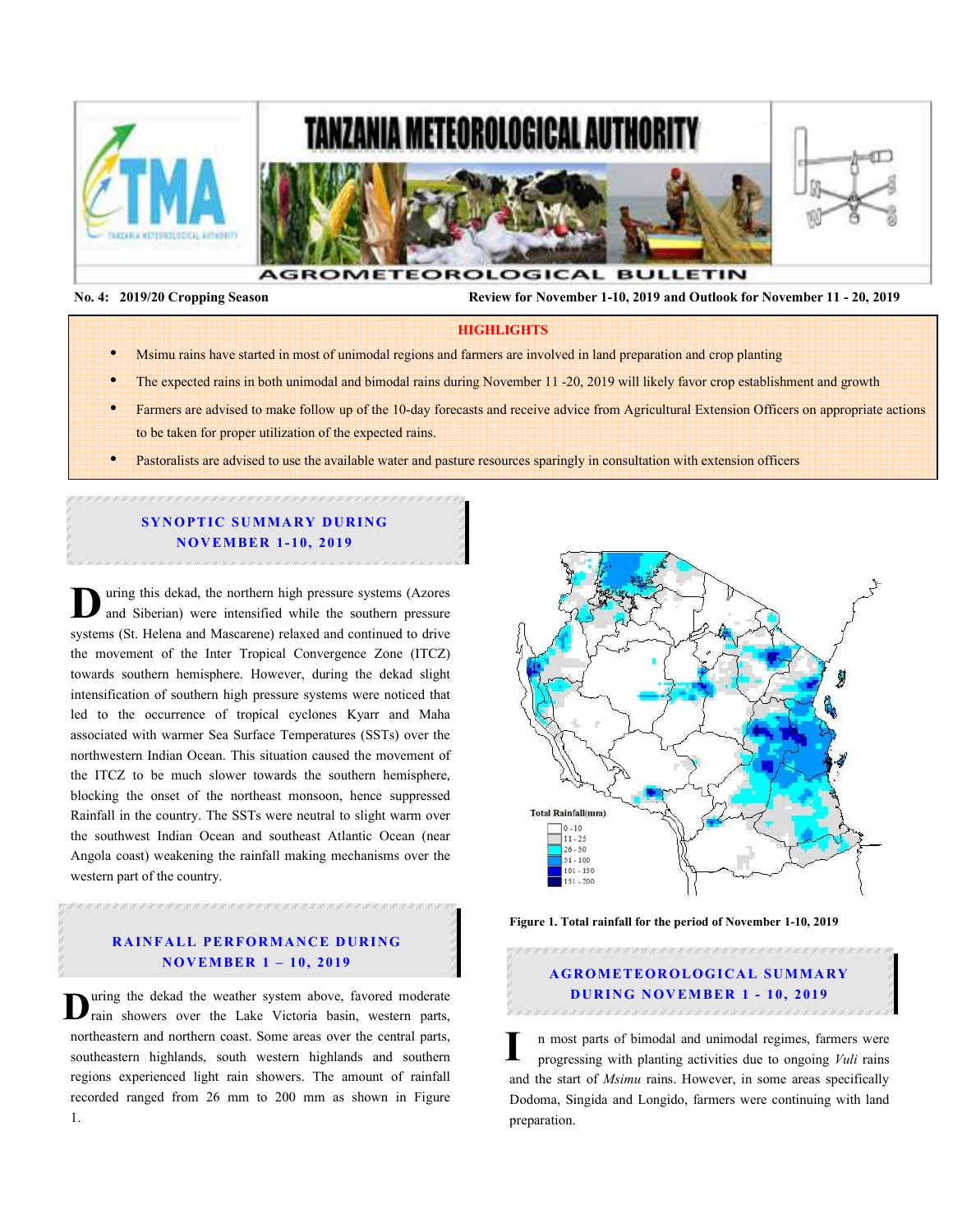





 **No. 4: 2019/20 Cropping Season Review for November 1-10, 2019 and Outlook for November 11 - 20, 2019** 

### **HIGHLIGHTS**

- Msimu rains have started in most of unimodal regions and farmers are involved in land preparation and crop planting
- The expected rains in both unimodal and bimodal rains during November 11 -20, 2019 will likely favor crop establishment and growth
- Farmers are advised to make follow up of the 10-day forecasts and receive advice from Agricultural Extension Officers on appropriate actions to be taken for proper utilization of the expected rains.
- Pastoralists are advised to use the available water and pasture resources sparingly in consultation with extension officers

## **SYNOPTIC SUMMARY DURING N O V EM BER 1- 10, 2019**

uring this dekad, the northern high pressure systems (Azores and Siberian) were intensified while the southern pressure U uring this dekad, the northern high pressure systems (Azores and Siberian) were intensified while the southern pressure systems (St. Helena and Mascarene) relaxed and continued to drive the movement of the Inter Tropical Convergence Zone (ITCZ) towards southern hemisphere. However, during the dekad slight intensification of southern high pressure systems were noticed that led to the occurrence of tropical cyclones Kyarr and Maha associated with warmer Sea Surface Temperatures (SSTs) over the northwestern Indian Ocean. This situation caused the movement of the ITCZ to be much slower towards the southern hemisphere, blocking the onset of the northeast monsoon, hence suppressed Rainfall in the country. The SSTs were neutral to slight warm over the southwest Indian Ocean and southeast Atlantic Ocean (near Angola coast) weakening the rainfall making mechanisms over the western part of the country.

## **RAINFALL PERFORMANCE DURING N O V EM BER 1 – 10, 2019**

uring the dekad the weather system above, favored moderate **D** uring the dekad the weather system above, favored moderate rain showers over the Lake Victoria basin, western parts, northeastern and northern coast. Some areas over the central parts, southeastern highlands, south western highlands and southern regions experienced light rain showers. The amount of rainfall recorded ranged from 26 mm to 200 mm as shown in Figure 1.



**Figure 1. Total rainfall for the period of November 1-10, 2019** 

# **A G RO M ETEO R O LOG ICA L SU M MA RY DURING NOVEMBER 1 - 10, 2019**

n most parts of bimodal and unimodal regimes, farmers were progressing with planting activities due to ongoing *Vuli* rains and the start of *Msimu* rains. However, in some areas specifically Dodoma, Singida and Longido, farmers were continuing with land preparation. **I**